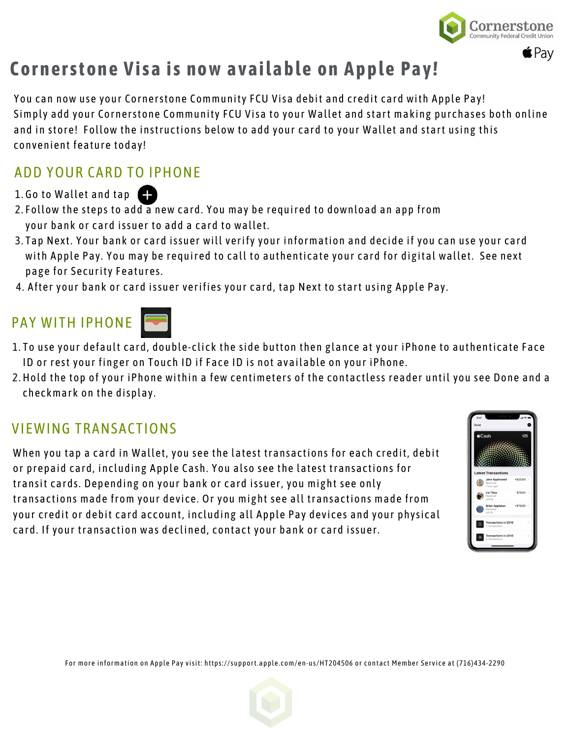

## **Cornerstone Visa is now available on Apple Pay!**

You can now use your Cornerstone Community FCU Visa debit and credit card with Apple Pay! Simply add your Cornerstone Community FCU Visa to your Wallet and start making purchases both online and in store! Follow the instructions below to add your card to your Wallet and start using this convenient feature today!

### ADD YOUR CARD TO IPHONE

- 1. Go to Wallet and tap
- 2. Follow the steps to add a new card. You may be required to download an app from your bank or card issuer to add a card to wallet.
- 3. Tap Next. Your bank or card issuer will verify your information and decide if you can use your card with Apple Pay. You may be required to call to authenticate your card for digital wallet. See next page for Security Features.
- 4. After your bank or card issuer verifies your card, tap Next to start using Apple Pay.

## PAY WITH IPHONE



- To use your default card, double-click the side button then glance at your iPhone to authenticate Face 1. ID or rest your finger on Touch ID if Face ID is not available on your iPhone.
- 2. Hold the top of your iPhone within a few centimeters of the contactless reader until you see Done and a checkmark on the display.

### VIEWING TRANSACTIONS

When you tap a card in Wallet, you see the latest transactions for each credit, debit or prepaid card, including Apple Cash. You also see the latest transactions for transit cards. Depending on your bank or card issuer, you might see only transactions made from your device. Or you might see all transactions made from your credit or debit card account, including all Apple Pay devices and your physical card. If your transaction was declined, contact your bank or card issuer.



For more information on Apple Pay visit: https://support.apple.com/en-us/HT204506 or contact Member Service at (716)434-2290

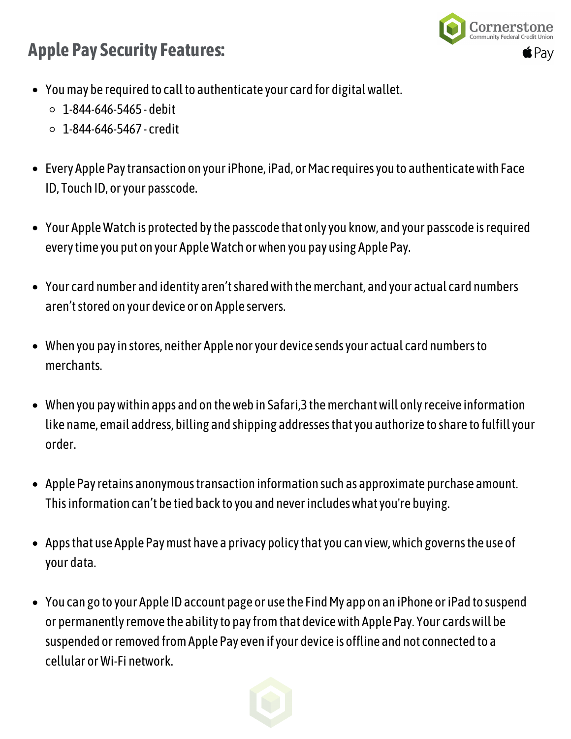## **Apple Pay Security Features:**



- You may be required to call to authenticate your card for digital wallet.
	- 1-844-646-5465 debit
	- $\circ$  1-844-646-5467 credit
- Every Apple Pay transaction on your iPhone, iPad, or Mac requires you to authenticate with Face ID, Touch ID, or your passcode.
- Your AppleWatch is protected bythe passcode that onlyyou know, and your passcode isrequired everytime you put on your AppleWatch orwhen you pay using Apple Pay.
- Your card number and identity aren'tsharedwith themerchant, and your actual card numbers aren't stored on your device or on Apple servers.
- When you payin stores, neither Apple noryour device sendsyour actual card numbersto merchants.
- When you paywithin apps and on theweb in Safari,3 themerchantwill onlyreceive information like name, email address, billing and shipping addressesthatyou authorize to share to fulfillyour order.
- Apple Pay retains anonymous transaction information such as approximate purchase amount. This information can't be tied back to you and never includes what you're buying.
- Appsthat use Apple Paymust have a privacy policythatyou can view,which governsthe use of your data.
- You can go to your Apple ID account page or use the Find My app on an iPhone or iPad to suspend or permanentlyremove the abilityto payfromthat devicewith Apple Pay. Your cardswill be suspended or removed from Apple Pay even if your device is offline and not connected to a cellular orWi-Fi network.

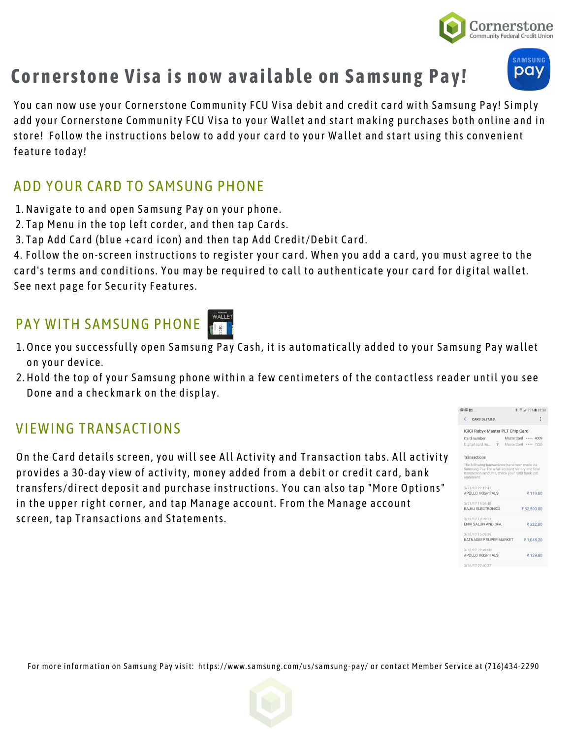

# **Cornerstone Visa is now available on Samsung Pay!**

You can now use your Cornerstone Community FCU Visa debit and credit card with Samsung Pay! Simply add your Cornerstone Community FCU Visa to your Wallet and start making purchases both online and in store! Follow the instructions below to add your card to your Wallet and start using this convenient feature today!

### ADD YOUR CARD TO SAMSUNG PHONE

- Navigate to and open Samsung Pay on your phone. 1.
- 2. Tap Menu in the top left corder, and then tap Cards.
- 3. Tap Add Card (blue +card icon) and then tap Add Credit/Debit Card.

4. Follow the on-screen instructions to register your card. When you add a card, you must agree to the card's terms and conditions. You may be required to call to authenticate your card for digital wallet. See next page for Security Features.

## PAY WITH SAMSUNG PHONE

- 1. Once you successfully open Samsung Pay Cash, it is automatically added to your Samsung Pay wallet on your device.
- 2. Hold the top of your Samsung phone within a few centimeters of the contactless reader until you see Done and a checkmark on the display.

### VIEWING TRANSACTIONS

On the Card details screen, you will see All Activity and Transaction tabs. All activity provides a 30-day view of activity, money added from a debit or credit card, bank transfers/direct deposit and purchase instructions. You can also tap "More Options" in the upper right corner, and tap Manage account. From the Manage account screen, tap Transactions and Statements.







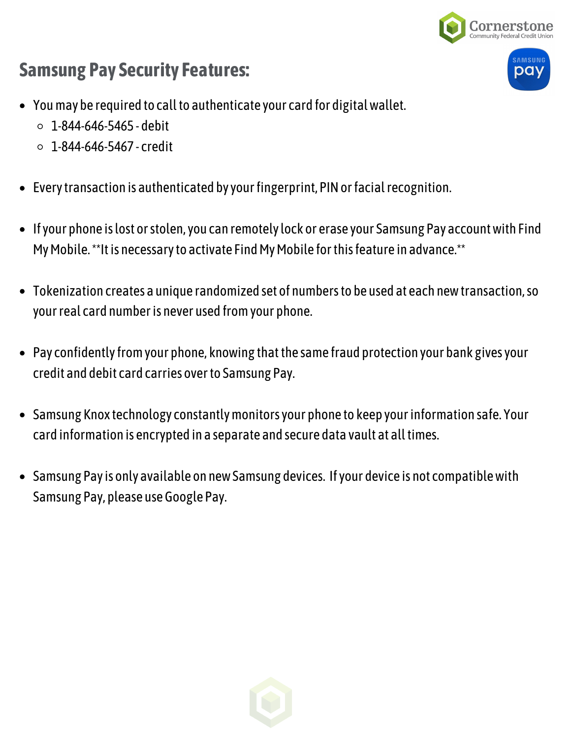



- You may be required to call to authenticate your card for digital wallet.
	- $0.1 844 646 5465 -$ debit
	- $0.1 844 646 5467 \text{credit}$
- Every transaction is authenticated by your fingerprint, PIN or facial recognition.
- Ifyour phone islost orstolen,you can remotelylock or erase your Samsung Pay accountwith Find My Mobile. \*\*It is necessary to activate Find My Mobile for this feature in advance.\*\*
- Tokenization creates a unique randomized set of numbersto be used at each newtransaction,so your real card number is never used from your phone.
- Pay confidently from your phone, knowing that the same fraud protection your bank gives your credit and debit card carries overto Samsung Pay.
- Samsung Knox technology constantly monitors your phone to keep your information safe. Your card information is encrypted in a separate and secure data vault at alltimes.
- Samsung Payis only available on newSamsung devices. Ifyour device is not compatiblewith Samsung Pay, please use Google Pay.

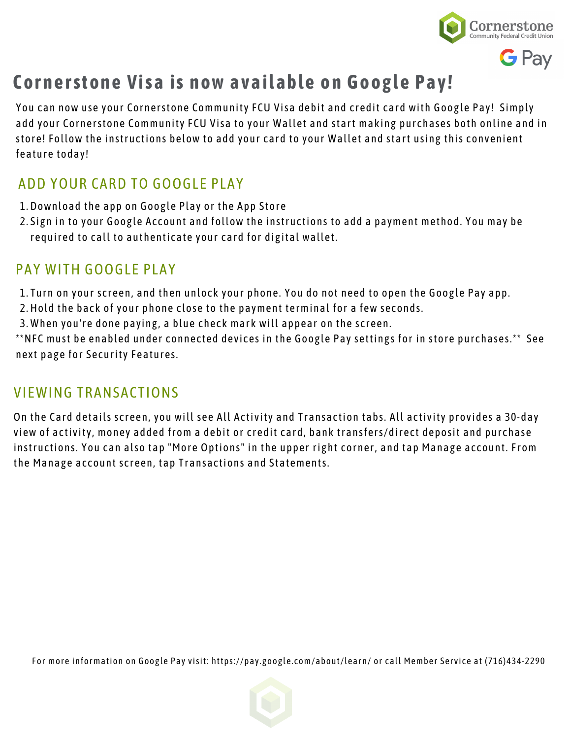

## **Cornerstone Visa is now available on Google Pay!**

You can now use your Cornerstone Community FCU Visa debit and credit card with Google Pay! Simply add your Cornerstone Community FCU Visa to your Wallet and start making purchases both online and in store! Follow the instructions below to add your card to your Wallet and start using this convenient feature today!

### ADD YOUR CARD TO GOOGLE PLAY

- 1. Download the app on Google Play or the App Store
- 2. Sign in to your Google Account and follow the instructions to add a payment method. You may be required to call to authenticate your card for digital wallet.

### PAY WITH GOOGLE PLAY

- Turn on your screen, and then unlock your phone. You do not need to open the Google Pay app. 1.
- 2. Hold the back of your phone close to the payment terminal for a few seconds.
- When you're done paying, a blue check mark will appear on the screen. 3.

\*\*NFC must be enabled under connected devices in the Google Pay settings for in store purchases.\*\* See next page for Security Features.

### VIEWING TRANSACTIONS

On the Card details screen, you will see All Activity and Transaction tabs. All activity provides a 30-day view of activity, money added from a debit or credit card, bank transfers/direct deposit and purchase instructions. You can also tap "More Options" in the upper right corner, and tap Manage account. From the Manage account screen, tap Transactions and Statements.

For more information on Google Pay visit: https://pay.google.com/about/learn/ or call Member Service at (716)434-2290